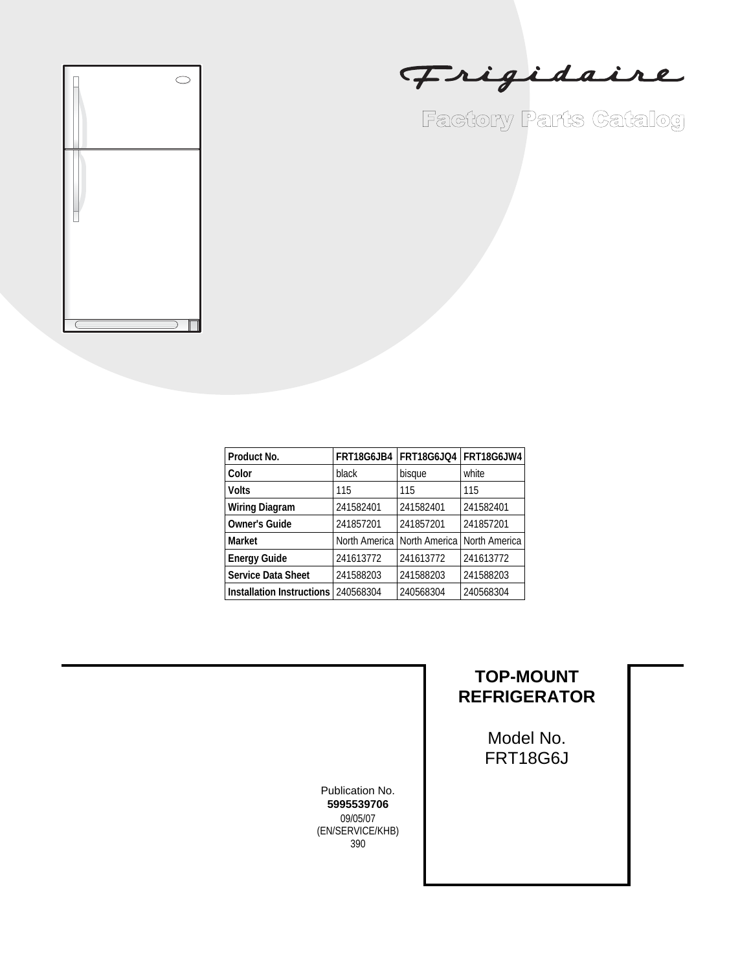

Frigidaire

**Factory Parts Catalog** 

| Product No.               | FRT18G6JB4 | FRT18G6JQ4                    | <b>FRT18G6JW4</b> |
|---------------------------|------------|-------------------------------|-------------------|
| Color                     | black      | bisque                        | white             |
| <b>Volts</b>              | 115        | 115                           | 115               |
| <b>Wiring Diagram</b>     | 241582401  | 241582401                     | 241582401         |
| <b>Owner's Guide</b>      | 241857201  | 241857201                     | 241857201         |
| Market                    |            | North America   North America | North America     |
| <b>Energy Guide</b>       | 241613772  | 241613772                     | 241613772         |
| Service Data Sheet        | 241588203  | 241588203                     | 241588203         |
| Installation Instructions | 240568304  | 240568304                     | 240568304         |

Publication No. **5995539706**  09/05/07 (EN/SERVICE/KHB) 390

N05L00001.eps N05DAACKA1.eps N05BBAABA19.eps N05SADAEF1.eps

# **TOP-MOUNT REFRIGERATOR**

Model No. FRT18G6J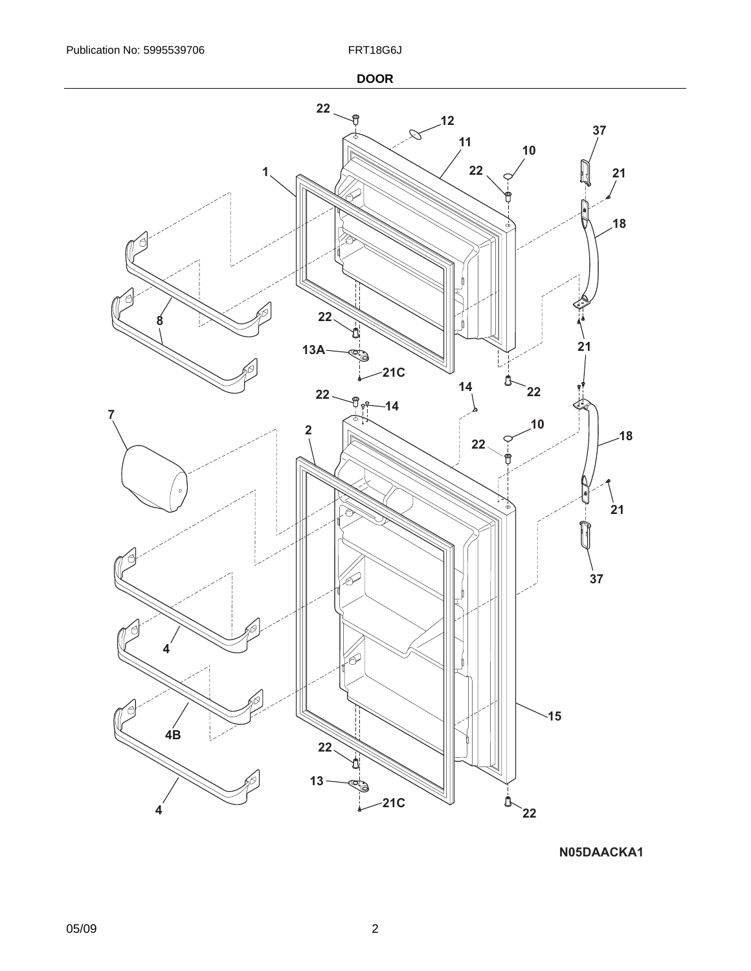

**N05DAACKA1**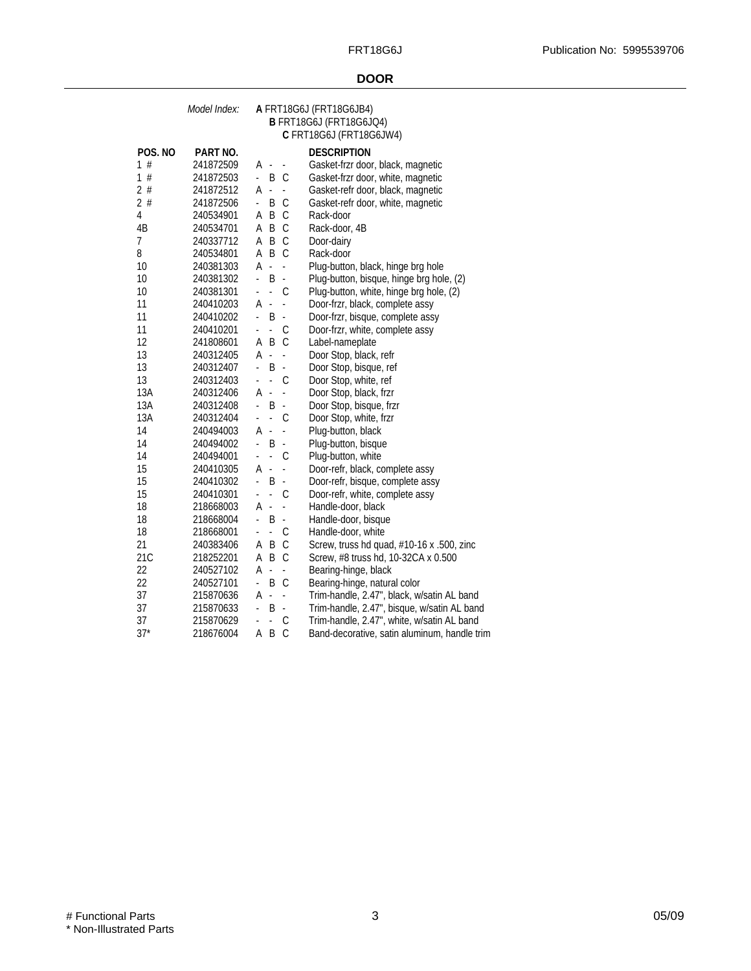## **DOOR**

|                | Model Index: |                          |                          |                             | A FRT18G6J (FRT18G6JB4)<br><b>B</b> FRT18G6J (FRT18G6JQ4)<br>C FRT18G6J (FRT18G6JW4) |
|----------------|--------------|--------------------------|--------------------------|-----------------------------|--------------------------------------------------------------------------------------|
| POS. NO        | PART NO.     |                          |                          |                             | <b>DESCRIPTION</b>                                                                   |
| 1#             | 241872509    | Α                        | $\overline{\phantom{a}}$ | ÷                           | Gasket-frzr door, black, magnetic                                                    |
| 1#             | 241872503    | ä,                       | B                        | $\mathsf{C}$                | Gasket-frzr door, white, magnetic                                                    |
| 2#             | 241872512    | A                        | ä,                       | ¥,                          | Gasket-refr door, black, magnetic                                                    |
| 2#             | 241872506    | ä,                       | B                        | $\mathcal{C}$               | Gasket-refr door, white, magnetic                                                    |
| $\overline{4}$ | 240534901    | A                        | B                        | $\mathsf C$                 | Rack-door                                                                            |
| 4B             | 240534701    | Α                        | B                        | $\mathcal{C}$               | Rack-door, 4B                                                                        |
| 7              | 240337712    | A                        | B                        | $\mathsf C$                 | Door-dairy                                                                           |
| 8              | 240534801    | Α                        | B                        | $\mathsf{C}$                | Rack-door                                                                            |
| 10             | 240381303    | Α                        | ÷.                       | ÷,                          | Plug-button, black, hinge brg hole                                                   |
| 10             | 240381302    | ä,                       | B                        | $\overline{\phantom{a}}$    | Plug-button, bisque, hinge brg hole, (2)                                             |
| 10             | 240381301    | L,                       | $\overline{a}$           | $\mathcal{C}$               | Plug-button, white, hinge brg hole, (2)                                              |
| 11             | 240410203    | A                        | $\mathbb{Z}$             | ä,                          | Door-frzr, black, complete assy                                                      |
| 11             | 240410202    | ÷,                       | B                        | $\mathcal{L}_{\mathcal{A}}$ | Door-frzr, bisque, complete assy                                                     |
| 11             | 240410201    | $\frac{1}{2}$            | L.                       | C                           | Door-frzr, white, complete assy                                                      |
| 12             | 241808601    | Α                        | B                        | $\mathcal{C}$               | Label-nameplate                                                                      |
| 13             | 240312405    | Α                        | $\overline{\phantom{a}}$ | ÷.                          | Door Stop, black, refr                                                               |
| 13             | 240312407    | ä,                       | B                        | $\Box$                      | Door Stop, bisque, ref                                                               |
| 13             | 240312403    | ä,                       | $\mathbf{r}$             | C                           | Door Stop, white, ref                                                                |
| 13A            | 240312406    | Α                        | $\overline{\phantom{a}}$ | ÷,                          | Door Stop, black, frzr                                                               |
| 13A            | 240312408    | ä,                       | B                        | $\mathbb{Z}$                | Door Stop, bisque, frzr                                                              |
| 13A            | 240312404    | L,                       | L,                       | C                           | Door Stop, white, frzr                                                               |
| 14             | 240494003    | A                        | $\bar{z}$                | ÷.                          | Plug-button, black                                                                   |
| 14             | 240494002    | L,                       | B                        | $\Box$                      | Plug-button, bisque                                                                  |
| 14             | 240494001    | ä,                       | $\overline{\phantom{a}}$ | С                           | Plug-button, white                                                                   |
| 15             | 240410305    | А                        | $\overline{\phantom{a}}$ | $\overline{\phantom{a}}$    | Door-refr, black, complete assy                                                      |
| 15             | 240410302    | ä,                       | B                        | $\overline{\phantom{a}}$    | Door-refr, bisque, complete assy                                                     |
| 15             | 240410301    | L,                       | L,                       | $\mathcal{C}$               | Door-refr, white, complete assy                                                      |
| 18             | 218668003    | Α                        | ä,                       | ä,                          | Handle-door, black                                                                   |
| 18             | 218668004    | ÷,                       | B                        | $\Box$                      | Handle-door, bisque                                                                  |
| 18             | 218668001    | $\overline{\phantom{0}}$ | L,                       | C                           | Handle-door, white                                                                   |
| 21             | 240383406    | Α                        | B                        | $\mathsf C$                 | Screw, truss hd quad, #10-16 x .500, zinc                                            |
| 21C            | 218252201    | Α                        | B                        | $\mathcal{C}$               | Screw, #8 truss hd, 10-32CA x 0.500                                                  |
| 22             | 240527102    | А                        | ä,                       | ÷.                          | Bearing-hinge, black                                                                 |
| 22             | 240527101    | ä,                       | B                        | $\mathcal{C}$               | Bearing-hinge, natural color                                                         |
| 37             | 215870636    | Α                        | ÷.                       | ÷.                          | Trim-handle, 2.47", black, w/satin AL band                                           |
| 37             | 215870633    | ÷,                       | B                        | ÷,                          | Trim-handle, 2.47", bisque, w/satin AL band                                          |
| 37             | 215870629    | ÷,                       | L,                       | C                           | Trim-handle, 2.47", white, w/satin AL band                                           |
| $37*$          | 218676004    | Α                        | B                        | $\mathcal{C}$               | Band-decorative, satin aluminum, handle trim                                         |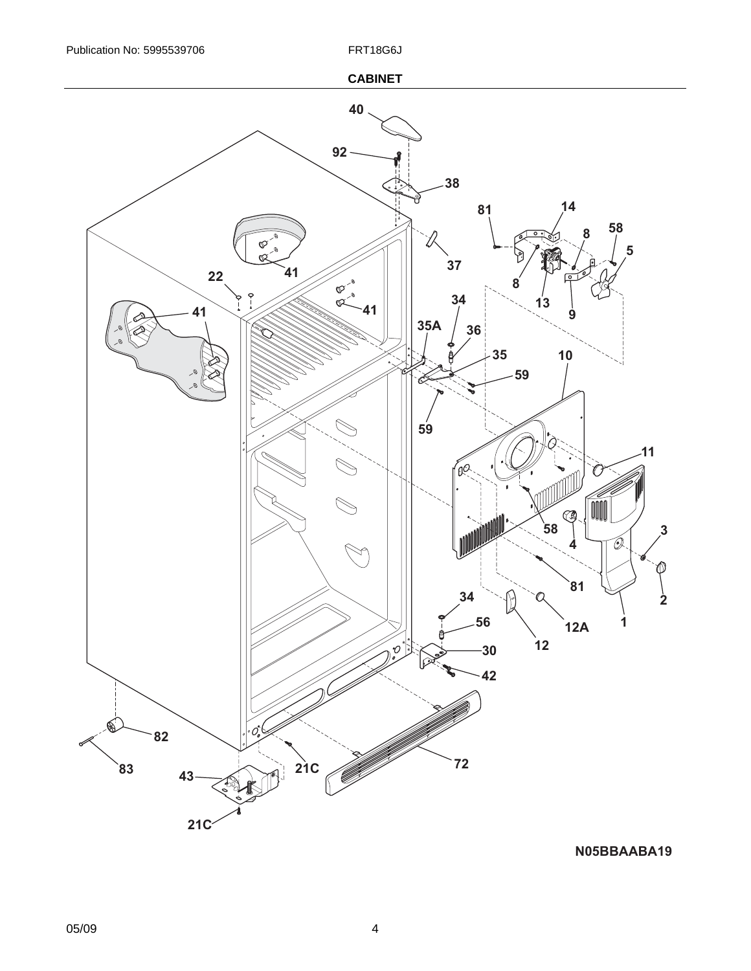

**N05BBAABA19**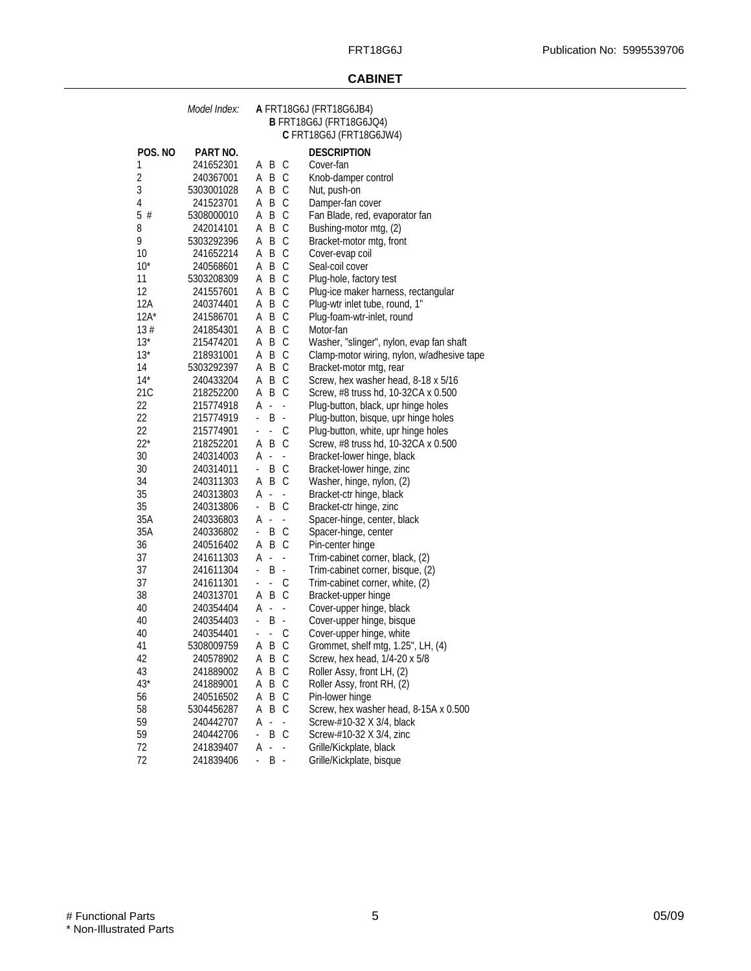#### **CABINET**

|         | Model Index: |                          |                          |               | A FRT18G6J (FRT18G6JB4)                    |
|---------|--------------|--------------------------|--------------------------|---------------|--------------------------------------------|
|         |              |                          |                          |               | B FRT18G6J (FRT18G6JQ4)                    |
|         |              |                          |                          |               | C FRT18G6J (FRT18G6JW4)                    |
| POS. NO | PART NO.     |                          |                          |               | <b>DESCRIPTION</b>                         |
| 1       | 241652301    |                          | A B                      | $\mathcal{C}$ | Cover-fan                                  |
| 2       | 240367001    | A                        | B C                      |               | Knob-damper control                        |
| 3       | 5303001028   |                          | A B C                    |               | Nut, push-on                               |
| 4       | 241523701    |                          | A B C                    |               | Damper-fan cover                           |
| #<br>5  | 5308000010   | A                        | B C                      |               | Fan Blade, red, evaporator fan             |
| 8       | 242014101    |                          | A B C                    |               | Bushing-motor mtg, (2)                     |
| 9       | 5303292396   |                          | A B                      | $\mathsf{C}$  | Bracket-motor mtg, front                   |
| 10      | 241652214    |                          | ΑB                       | C             | Cover-evap coil                            |
| $10^*$  | 240568601    | A                        | B C                      |               | Seal-coil cover                            |
| 11      | 5303208309   |                          | A B                      | C             | Plug-hole, factory test                    |
| 12      | 241557601    | A                        | B                        | $\mathsf C$   | Plug-ice maker harness, rectangular        |
| 12A     | 240374401    | A                        | B                        | C             | Plug-wtr inlet tube, round, 1"             |
| $12A^*$ | 241586701    | A                        | B                        | $\mathsf{C}$  | Plug-foam-wtr-inlet, round                 |
| 13#     | 241854301    | A                        | - B                      | C             | Motor-fan                                  |
| $13*$   | 215474201    |                          | A B                      | $\mathcal{C}$ | Washer, "slinger", nylon, evap fan shaft   |
| $13*$   | 218931001    | A                        | B                        | C             | Clamp-motor wiring, nylon, w/adhesive tape |
| 14      | 5303292397   |                          | A B                      | $\mathsf{C}$  | Bracket-motor mtg, rear                    |
| 14*     | 240433204    |                          | A B                      | $\mathsf{C}$  | Screw, hex washer head, 8-18 x 5/16        |
| 21C     | 218252200    | A                        | B C                      |               | Screw, #8 truss hd, 10-32CA x 0.500        |
| 22      | 215774918    | Α                        | $\omega_{\rm{eff}}$      | ÷.            | Plug-button, black, upr hinge holes        |
| 22      | 215774919    | ä,                       | Β                        | $\sim$        | Plug-button, bisque, upr hinge holes       |
| 22      | 215774901    | $\overline{\phantom{a}}$ | ÷.                       | С             | Plug-button, white, upr hinge holes        |
| $22*$   | 218252201    | A                        | B                        | $\mathcal{C}$ | Screw, #8 truss hd, 10-32CA x 0.500        |
| 30      | 240314003    | Α                        | ÷.                       | ÷.            | Bracket-lower hinge, black                 |
| 30      | 240314011    | ÷.                       | B                        | $\mathcal{C}$ | Bracket-lower hinge, zinc                  |
| 34      | 240311303    | A                        | B C                      |               | Washer, hinge, nylon, (2)                  |
| 35      | 240313803    | A                        | $\overline{\phantom{a}}$ | ÷.            | Bracket-ctr hinge, black                   |
| 35      | 240313806    | ä,                       | B                        | С             | Bracket-ctr hinge, zinc                    |
| 35A     | 240336803    | Α                        | L,                       | ä,            | Spacer-hinge, center, black                |
| 35A     | 240336802    | ä,                       | B                        | C             | Spacer-hinge, center                       |
| 36      | 240516402    | A                        | B                        | $\mathsf{C}$  | Pin-center hinge                           |
| 37      | 241611303    | А                        | ÷.                       | ÷,            | Trim-cabinet corner, black, (2)            |
| 37      | 241611304    | ä,                       | Β                        | $\Box$        | Trim-cabinet corner, bisque, (2)           |
| 37      | 241611301    | ÷,                       | ä,                       | C             | Trim-cabinet corner, white, (2)            |
| 38      | 240313701    | A                        | B                        | $\mathsf{C}$  | Bracket-upper hinge                        |
| 40      | 240354404    | Α                        | ÷,                       | ÷.            | Cover-upper hinge, black                   |
| 40      | 240354403    | ÷,                       | B                        | ÷.            | Cover-upper hinge, bisque                  |
| 40      | 240354401    | $\blacksquare$           | L,                       | С             | Cover-upper hinge, white                   |
| 41      | 5308009759   | A                        | B                        | С             | Grommet, shelf mtg, 1.25", LH, (4)         |
| 42      | 240578902    |                          | A B C                    |               | Screw, hex head, 1/4-20 x 5/8              |
| 43      | 241889002    | Α                        | B                        | C             | Roller Assy, front LH, (2)                 |
| $43*$   | 241889001    |                          | A B                      | $\mathsf C$   | Roller Assy, front RH, (2)                 |
| 56      | 240516502    |                          | A B                      | $\mathsf C$   | Pin-lower hinge                            |
| 58      | 5304456287   | Α                        | B                        | $\mathcal{C}$ | Screw, hex washer head, 8-15A x 0.500      |
| 59      | 240442707    | Α                        | $\overline{\phantom{a}}$ | ÷.            | Screw-#10-32 X 3/4, black                  |
| 59      | 240442706    | ä,                       | Β                        | $\mathcal{C}$ | Screw-#10-32 X 3/4, zinc                   |
| 72      | 241839407    | Α                        | $\overline{\phantom{a}}$ | ÷.            | Grille/Kickplate, black                    |
| 72      | 241839406    | L,                       | Β                        | $\sim$        | Grille/Kickplate, bisque                   |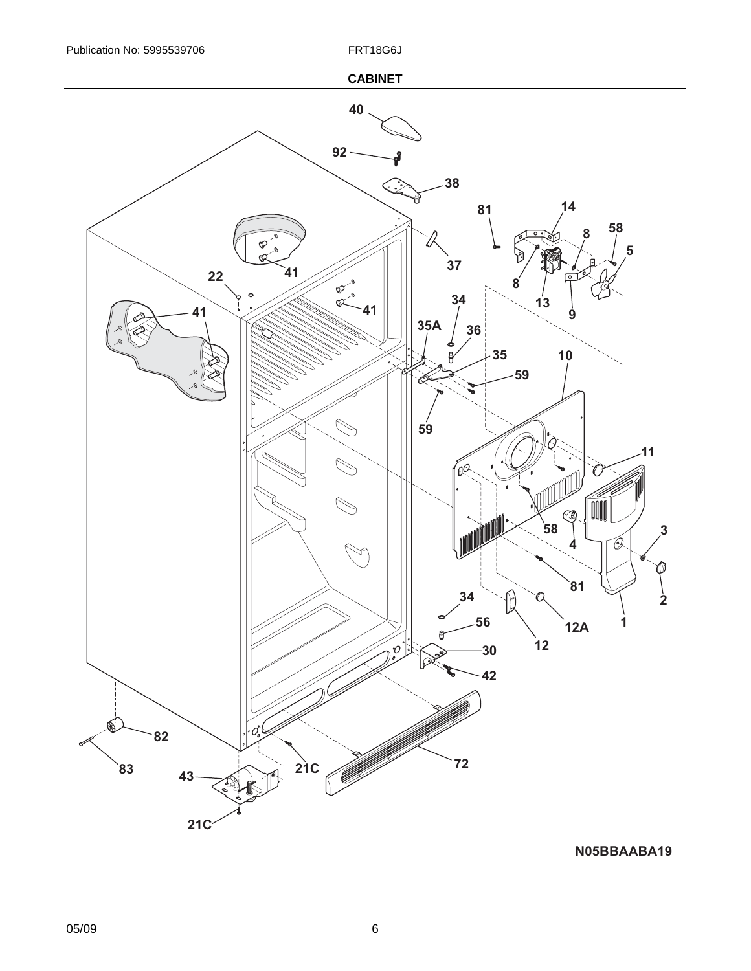

**N05BBAABA19**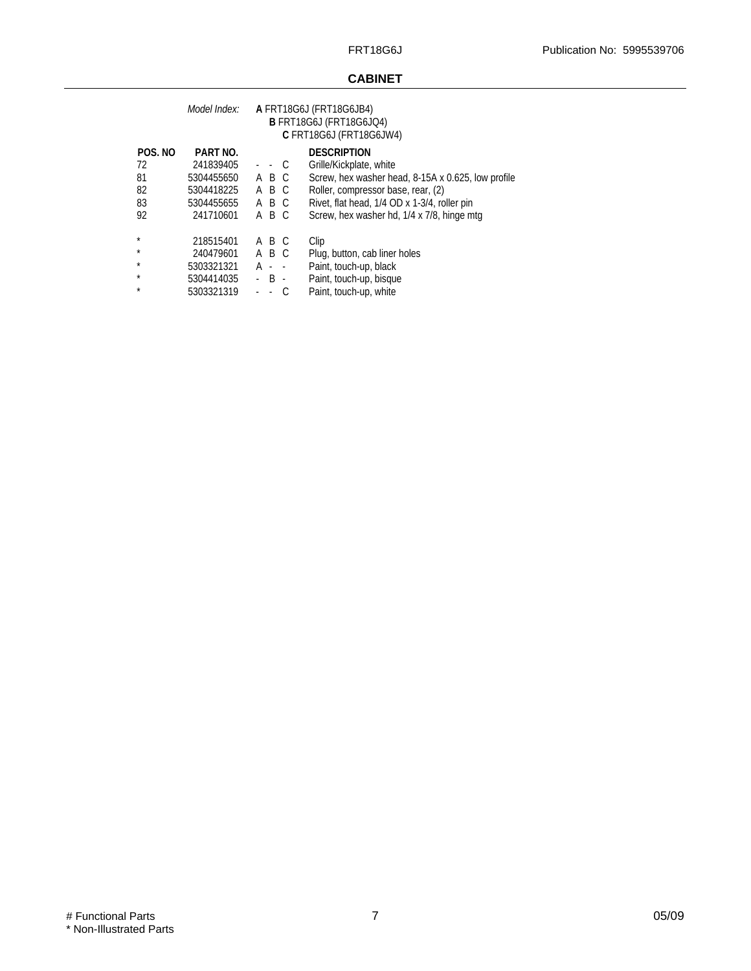#### **CABINET**

|          | Model Index: |        |   |        | A FRT18G6J (FRT18G6JB4)                            |
|----------|--------------|--------|---|--------|----------------------------------------------------|
|          |              |        |   |        | <b>B FRT18G6J (FRT18G6JQ4)</b>                     |
|          |              |        |   |        | C FRT18G6J (FRT18G6JW4)                            |
| POS. NO  | PART NO.     |        |   |        | <b>DESCRIPTION</b>                                 |
| 72       | 241839405    | $\sim$ |   | - C    | Grille/Kickplate, white                            |
| 81       | 5304455650   | A B C  |   |        | Screw, hex washer head, 8-15A x 0.625, low profile |
| 82       | 5304418225   | A B C  |   |        | Roller, compressor base, rear, (2)                 |
| 83       | 5304455655   | A B C  |   |        | Rivet, flat head, 1/4 OD x 1-3/4, roller pin       |
| 92       | 241710601    | A      | B | - C    | Screw, hex washer hd, 1/4 x 7/8, hinge mtg         |
|          |              |        |   |        |                                                    |
| $^\star$ | 218515401    | A B C  |   |        | Clip                                               |
| $^\star$ | 240479601    | A B C  |   |        | Plug, button, cab liner holes                      |
| $^\star$ | 5303321321   | A -    |   | $\sim$ | Paint, touch-up, black                             |
| $^\star$ | 5304414035   | $-B -$ |   |        | Paint, touch-up, bisque                            |
| *        | 5303321319   |        |   | C      | Paint, touch-up, white                             |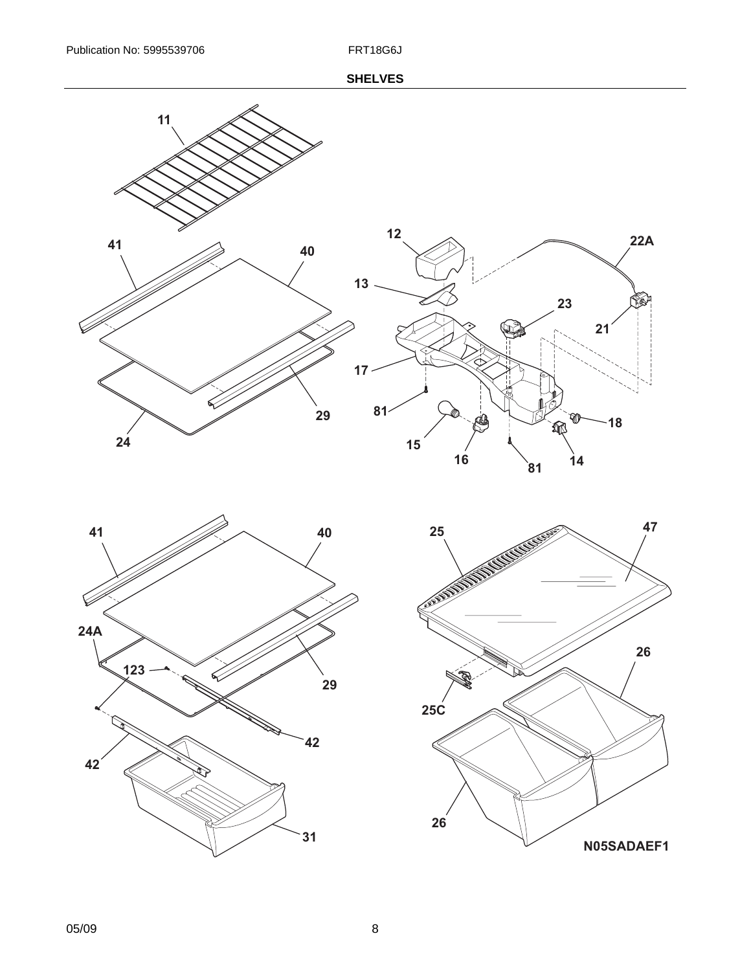



豽

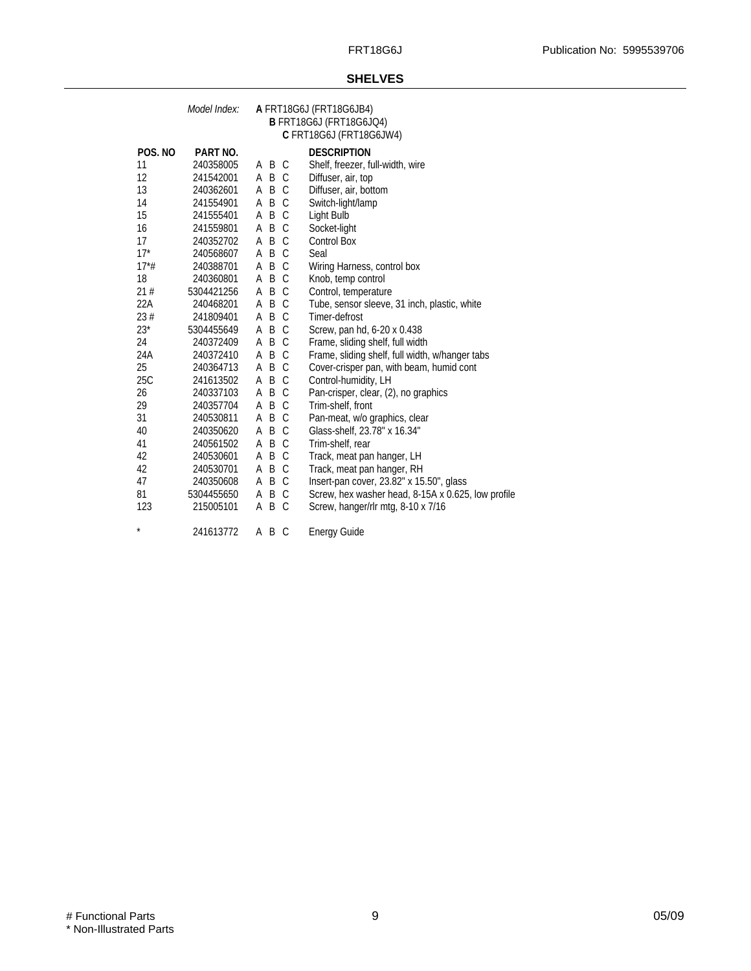#### **SHELVES**

|         | Model Index: |       |              | A FRT18G6J (FRT18G6JB4)<br>B FRT18G6J (FRT18G6JQ4) |
|---------|--------------|-------|--------------|----------------------------------------------------|
|         |              |       |              | C FRT18G6J (FRT18G6JW4)                            |
| POS. NO | PART NO.     |       |              | <b>DESCRIPTION</b>                                 |
| 11      | 240358005    | A B C |              | Shelf, freezer, full-width, wire                   |
| 12      | 241542001    | A B C |              | Diffuser, air, top                                 |
| 13      | 240362601    | A B C |              | Diffuser, air, bottom                              |
| 14      | 241554901    | A B C |              | Switch-light/lamp                                  |
| 15      | 241555401    | A B C |              | Light Bulb                                         |
| 16      | 241559801    | A B C |              | Socket-light                                       |
| 17      | 240352702    | A B C |              | <b>Control Box</b>                                 |
| $17*$   | 240568607    | A B   | C.           | Seal                                               |
| $17*$   | 240388701    | A B   | C.           | Wiring Harness, control box                        |
| 18      | 240360801    | A B   | C            | Knob, temp control                                 |
| 21#     | 5304421256   | A B   | C            | Control, temperature                               |
| 22A     | 240468201    | A B   | - C          | Tube, sensor sleeve, 31 inch, plastic, white       |
| 23#     | 241809401    | A B C |              | Timer-defrost                                      |
| $23*$   | 5304455649   | A B C |              | Screw, pan hd, 6-20 x 0.438                        |
| 24      | 240372409    | A B C |              | Frame, sliding shelf, full width                   |
| 24A     | 240372410    | A B   | - C          | Frame, sliding shelf, full width, w/hanger tabs    |
| 25      | 240364713    | A B   | C.           | Cover-crisper pan, with beam, humid cont           |
| 25C     | 241613502    | A B C |              | Control-humidity, LH                               |
| 26      | 240337103    | A B   | C.           | Pan-crisper, clear, (2), no graphics               |
| 29      | 240357704    | A B   | $\mathsf{C}$ | Trim-shelf, front                                  |
| 31      | 240530811    | A B   | C            | Pan-meat, w/o graphics, clear                      |
| 40      | 240350620    | A B   | C.           | Glass-shelf, 23.78" x 16.34"                       |
| 41      | 240561502    | A B   | - C          | Trim-shelf, rear                                   |
| 42      | 240530601    | A B C |              | Track, meat pan hanger, LH                         |
| 42      | 240530701    | A B   | C.           | Track, meat pan hanger, RH                         |
| 47      | 240350608    | A B C |              | Insert-pan cover, 23.82" x 15.50", glass           |
| 81      | 5304455650   | A B   | C.           | Screw, hex washer head, 8-15A x 0.625, low profile |
| 123     | 215005101    | A B   | C            | Screw, hanger/rlr mtg, 8-10 x 7/16                 |
| $\star$ | 241613772    | A B   | C            | <b>Energy Guide</b>                                |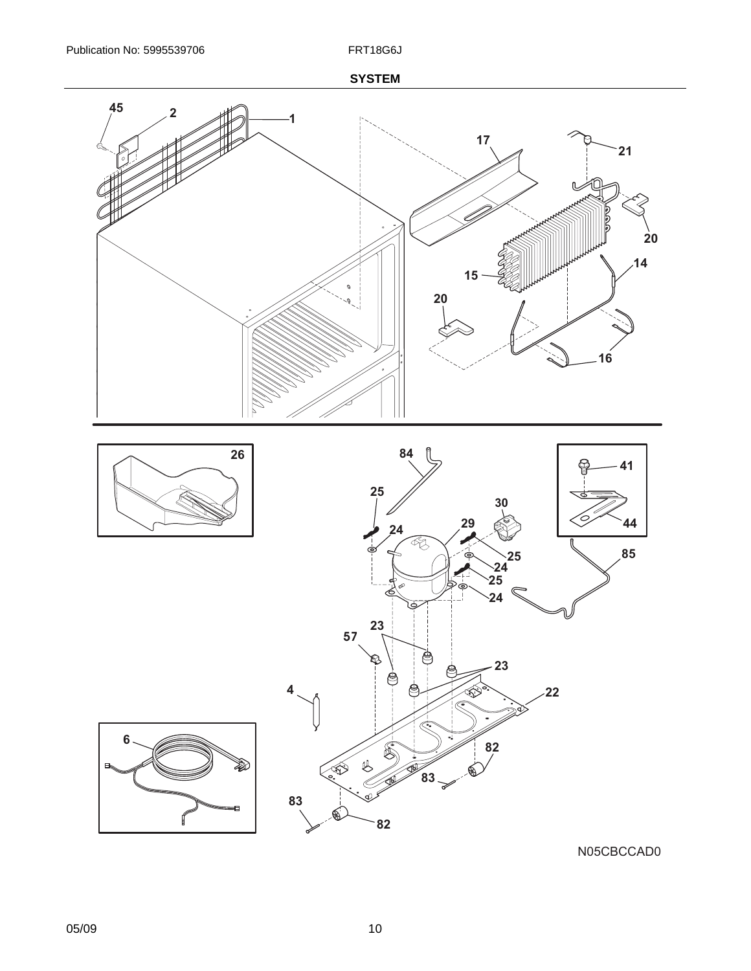

N05CBCCAD0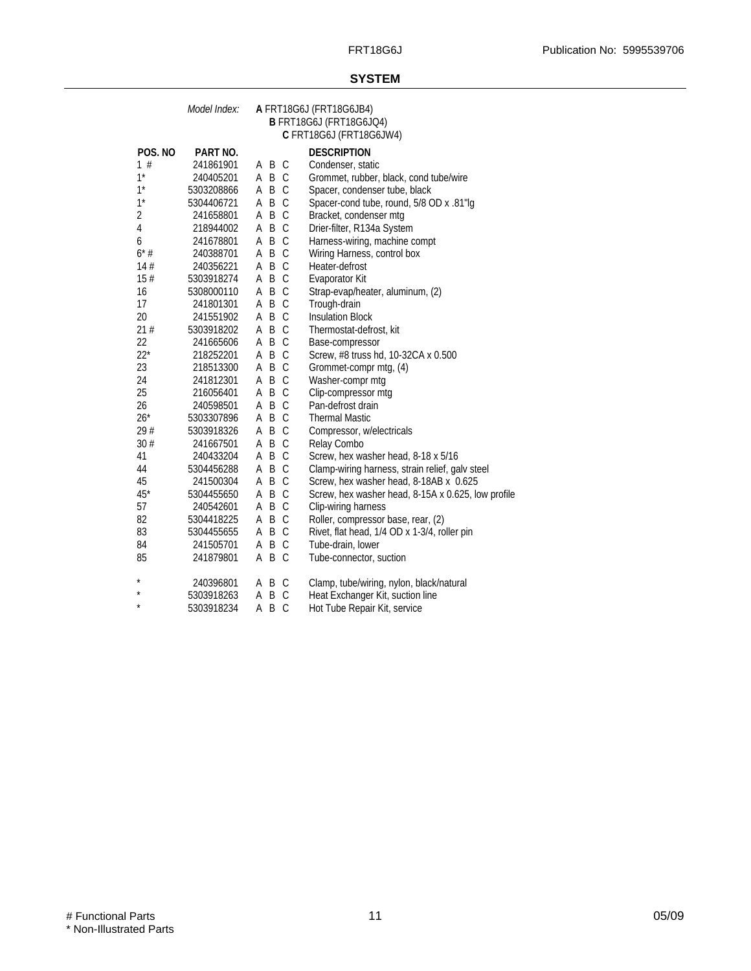## **SYSTEM**

|                | Model Index: |                      | A FRT18G6J (FRT18G6JB4)<br><b>B</b> FRT18G6J (FRT18G6JQ4)<br>C FRT18G6J (FRT18G6JW4) |
|----------------|--------------|----------------------|--------------------------------------------------------------------------------------|
| POS. NO        | PART NO.     |                      | DESCRIPTION                                                                          |
| 1#             | 241861901    | A B C                | Condenser, static                                                                    |
| $1^*$          | 240405201    | A B C                | Grommet, rubber, black, cond tube/wire                                               |
| $1^*$          | 5303208866   | A B C                | Spacer, condenser tube, black                                                        |
| $1^*$          | 5304406721   | A B C                | Spacer-cond tube, round, 5/8 OD x .81"lg                                             |
| $\overline{2}$ | 241658801    | A B C                | Bracket, condenser mtg                                                               |
| $\overline{4}$ | 218944002    | A B C                | Drier-filter, R134a System                                                           |
| 6              | 241678801    | A B C                | Harness-wiring, machine compt                                                        |
| $6*$ #         | 240388701    | A B C                | Wiring Harness, control box                                                          |
| 14#            | 240356221    | A B C                | Heater-defrost                                                                       |
| 15#            | 5303918274   | A B C                | Evaporator Kit                                                                       |
| 16             | 5308000110   | A B<br>C             | Strap-evap/heater, aluminum, (2)                                                     |
| 17             | 241801301    | A B C                | Trough-drain                                                                         |
| 20             | 241551902    | A B C                | <b>Insulation Block</b>                                                              |
| 21#            | 5303918202   | A B C                | Thermostat-defrost, kit                                                              |
| 22             | 241665606    | A B C                | Base-compressor                                                                      |
| $22*$          | 218252201    | A B C                | Screw, #8 truss hd, 10-32CA x 0.500                                                  |
| 23             | 218513300    | A B C                | Grommet-compr mtg, (4)                                                               |
| 24             | 241812301    | A B C                | Washer-compr mtg                                                                     |
| 25             | 216056401    | A B C                | Clip-compressor mtg                                                                  |
| 26             | 240598501    | A B C                | Pan-defrost drain                                                                    |
| $26*$          | 5303307896   | A B C                | <b>Thermal Mastic</b>                                                                |
| 29#            | 5303918326   | A B<br>C             | Compressor, w/electricals                                                            |
| 30#            | 241667501    | $\mathsf{C}$<br>A B  | Relay Combo                                                                          |
| 41             | 240433204    | A B C                | Screw, hex washer head, 8-18 x 5/16                                                  |
| 44             | 5304456288   | A B C                | Clamp-wiring harness, strain relief, galv steel                                      |
| 45             | 241500304    | A B C                | Screw, hex washer head, 8-18AB x 0.625                                               |
| $45^*$         | 5304455650   | A B C                | Screw, hex washer head, 8-15A x 0.625, low profile                                   |
| 57             | 240542601    | A B C                | Clip-wiring harness                                                                  |
| 82             | 5304418225   | A B C                | Roller, compressor base, rear, (2)                                                   |
| 83             | 5304455655   | A B C                | Rivet, flat head, 1/4 OD x 1-3/4, roller pin                                         |
| 84             | 241505701    | A B C                | Tube-drain, lower                                                                    |
| 85             | 241879801    | A B C                | Tube-connector, suction                                                              |
| $^{\star}$     | 240396801    | A B<br>$\mathsf{C}$  | Clamp, tube/wiring, nylon, black/natural                                             |
| $\star$        | 5303918263   | A B C                | Heat Exchanger Kit, suction line                                                     |
| $\star$        | 5303918234   | $\mathcal{C}$<br>A B | Hot Tube Repair Kit, service                                                         |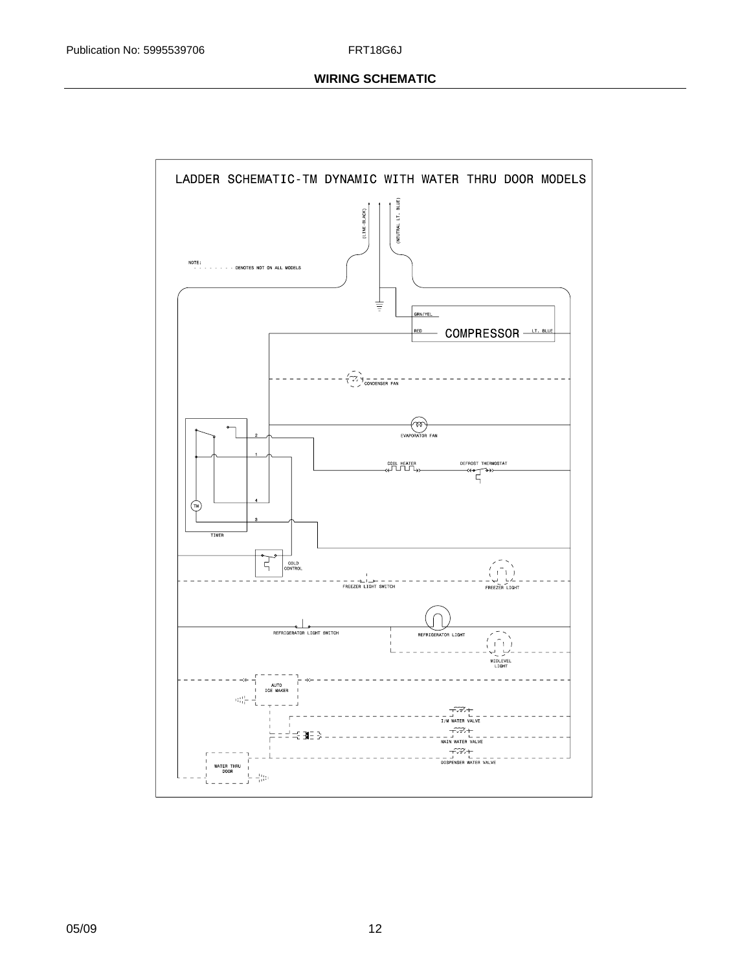